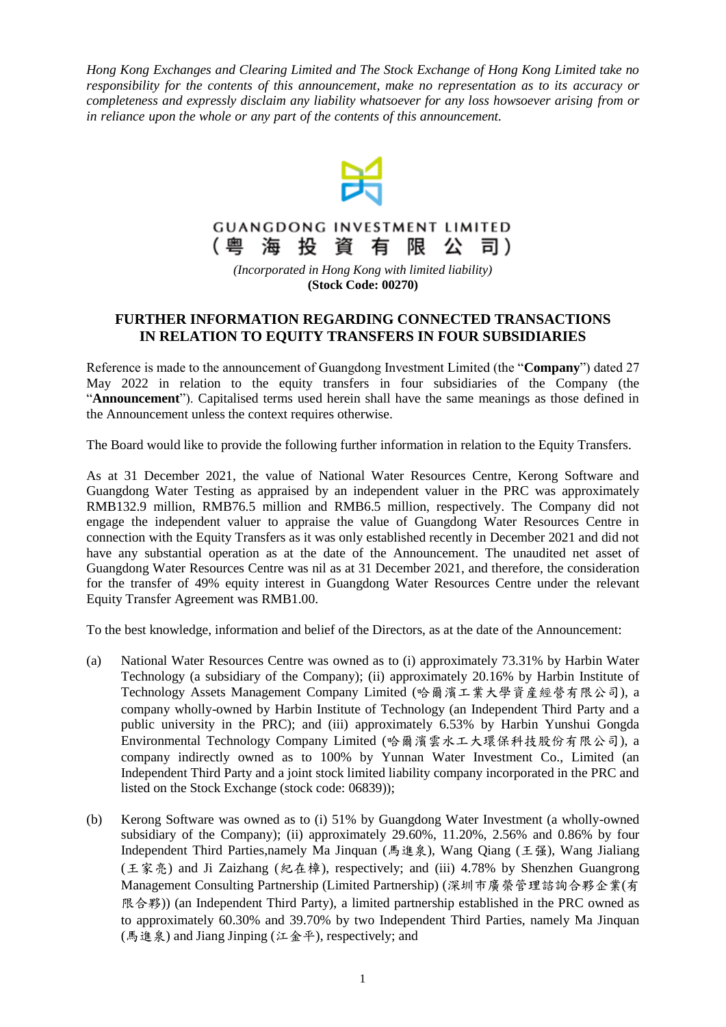*Hong Kong Exchanges and Clearing Limited and The Stock Exchange of Hong Kong Limited take no responsibility for the contents of this announcement, make no representation as to its accuracy or completeness and expressly disclaim any liability whatsoever for any loss howsoever arising from or in reliance upon the whole or any part of the contents of this announcement.*



## **GUANGDONG INVESTMENT LIMITED** 海投資有限 (粤 公 司)

*(Incorporated in Hong Kong with limited liability)* **(Stock Code: 00270)**

## **FURTHER INFORMATION REGARDING CONNECTED TRANSACTIONS IN RELATION TO EQUITY TRANSFERS IN FOUR SUBSIDIARIES**

Reference is made to the announcement of Guangdong Investment Limited (the "**Company**") dated 27 May 2022 in relation to the equity transfers in four subsidiaries of the Company (the "**Announcement**"). Capitalised terms used herein shall have the same meanings as those defined in the Announcement unless the context requires otherwise.

The Board would like to provide the following further information in relation to the Equity Transfers.

As at 31 December 2021, the value of National Water Resources Centre, Kerong Software and Guangdong Water Testing as appraised by an independent valuer in the PRC was approximately RMB132.9 million, RMB76.5 million and RMB6.5 million, respectively. The Company did not engage the independent valuer to appraise the value of Guangdong Water Resources Centre in connection with the Equity Transfers as it was only established recently in December 2021 and did not have any substantial operation as at the date of the Announcement. The unaudited net asset of Guangdong Water Resources Centre was nil as at 31 December 2021, and therefore, the consideration for the transfer of 49% equity interest in Guangdong Water Resources Centre under the relevant Equity Transfer Agreement was RMB1.00.

To the best knowledge, information and belief of the Directors, as at the date of the Announcement:

- (a) National Water Resources Centre was owned as to (i) approximately 73.31% by Harbin Water Technology (a subsidiary of the Company); (ii) approximately 20.16% by Harbin Institute of Technology Assets Management Company Limited (哈爾濱工業大學資産經營有限公司), a company wholly-owned by Harbin Institute of Technology (an Independent Third Party and a public university in the PRC); and (iii) approximately 6.53% by Harbin Yunshui Gongda Environmental Technology Company Limited (哈爾濱雲水工大環保科技股份有限公司), a company indirectly owned as to 100% by Yunnan Water Investment Co., Limited (an Independent Third Party and a joint stock limited liability company incorporated in the PRC and listed on the Stock Exchange (stock code: 06839));
- (b) Kerong Software was owned as to (i) 51% by Guangdong Water Investment (a wholly-owned subsidiary of the Company); (ii) approximately 29.60%, 11.20%, 2.56% and 0.86% by four Independent Third Parties,namely Ma Jinquan (馬進泉), Wang Qiang (王强), Wang Jialiang (王家亮) and Ji Zaizhang (紀在樟), respectively; and (iii) 4.78% by Shenzhen Guangrong Management Consulting Partnership (Limited Partnership) (深圳市廣榮管理諮詢合夥企業(有 限合夥)) (an Independent Third Party), a limited partnership established in the PRC owned as to approximately 60.30% and 39.70% by two Independent Third Parties, namely Ma Jinquan (馬進泉) and Jiang Jinping (江金平), respectively; and